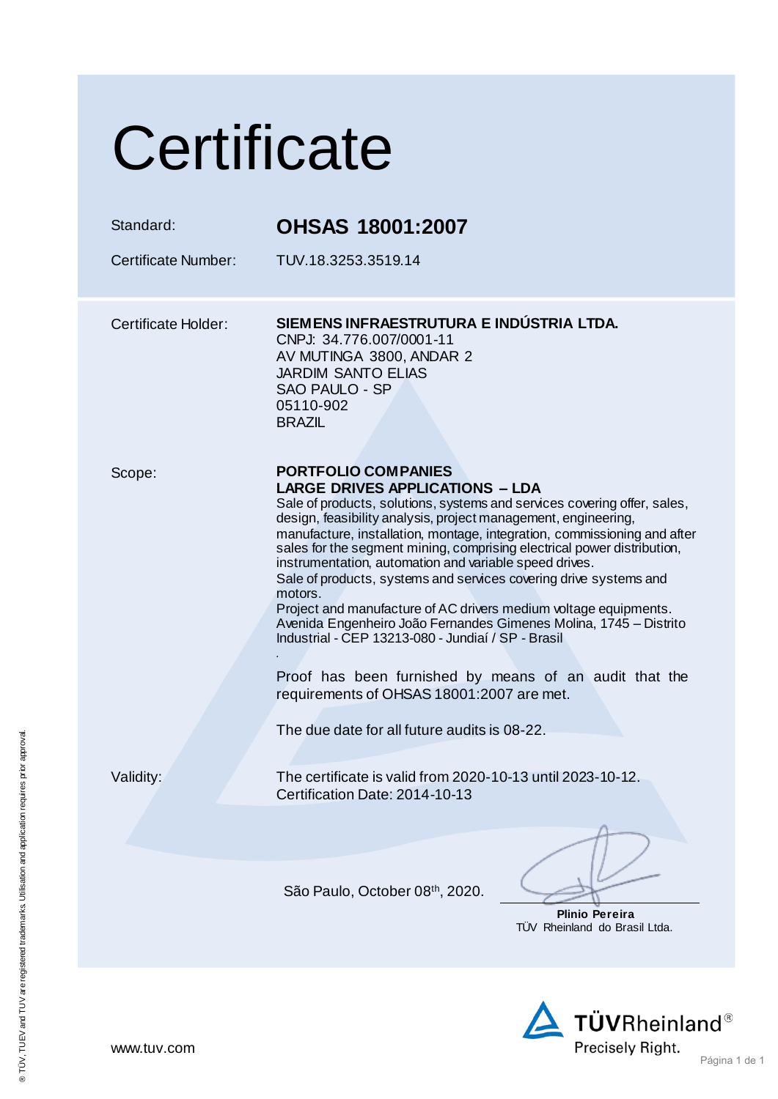## **Certificate**

| Standard:<br><b>Certificate Number:</b> | <b>OHSAS 18001:2007</b><br>TUV.18.3253.3519.14                                                                                                                                                                                                                                                                                                                                                                                                                                                                                                                                                                                                                                                                                                                                                                                                                            |
|-----------------------------------------|---------------------------------------------------------------------------------------------------------------------------------------------------------------------------------------------------------------------------------------------------------------------------------------------------------------------------------------------------------------------------------------------------------------------------------------------------------------------------------------------------------------------------------------------------------------------------------------------------------------------------------------------------------------------------------------------------------------------------------------------------------------------------------------------------------------------------------------------------------------------------|
| <b>Certificate Holder:</b>              | SIEMENS INFRAESTRUTURA E INDÚSTRIA LTDA.<br>CNPJ: 34.776.007/0001-11<br>AV MUTINGA 3800, ANDAR 2<br><b>JARDIM SANTO ELIAS</b><br>SAO PAULO - SP<br>05110-902<br><b>BRAZIL</b>                                                                                                                                                                                                                                                                                                                                                                                                                                                                                                                                                                                                                                                                                             |
| Scope:                                  | <b>PORTFOLIO COMPANIES</b><br><b>LARGE DRIVES APPLICATIONS - LDA</b><br>Sale of products, solutions, systems and services covering offer, sales,<br>design, feasibility analysis, project management, engineering,<br>manufacture, installation, montage, integration, commissioning and after<br>sales for the segment mining, comprising electrical power distribution,<br>instrumentation, automation and variable speed drives.<br>Sale of products, systems and services covering drive systems and<br>motors.<br>Project and manufacture of AC drivers medium voltage equipments.<br>Avenida Engenheiro João Fernandes Gimenes Molina, 1745 - Distrito<br>Industrial - CEP 13213-080 - Jundiaí / SP - Brasil<br>Proof has been furnished by means of an audit that the<br>requirements of OHSAS 18001:2007 are met.<br>The due date for all future audits is 08-22. |
| Validity:                               | The certificate is valid from 2020-10-13 until 2023-10-12<br>Certification Date: 2014-10-13                                                                                                                                                                                                                                                                                                                                                                                                                                                                                                                                                                                                                                                                                                                                                                               |
|                                         |                                                                                                                                                                                                                                                                                                                                                                                                                                                                                                                                                                                                                                                                                                                                                                                                                                                                           |
|                                         | São Paulo, October 08th, 2020.<br>Plinio Pereira<br>TÜV Rheinland do Brasil Ltda.                                                                                                                                                                                                                                                                                                                                                                                                                                                                                                                                                                                                                                                                                                                                                                                         |